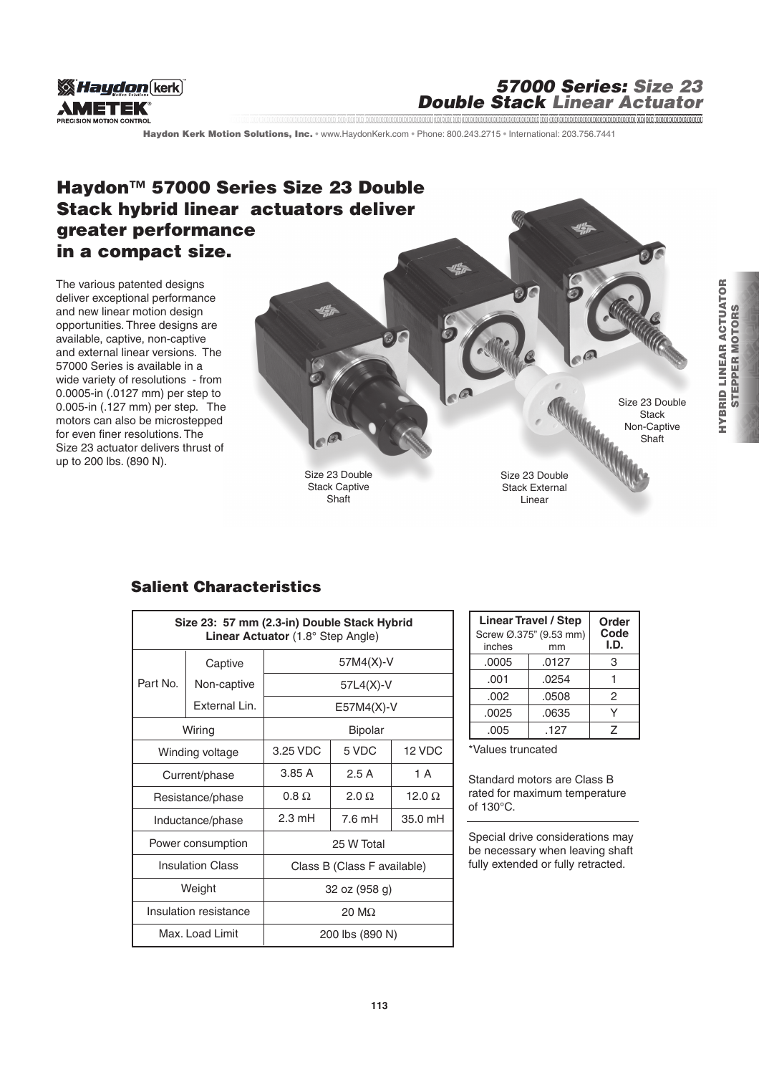

Haydon Kerk Motion Solutions, Inc. · www.HaydonKerk.com · Phone: 800.243.2715 · International: 203.756.7441

# Haydon<sup>™</sup> 57000 Series Size 23 Double **Stack hybrid linear actuators deliver** greater performance in a compact size.

The various patented designs deliver exceptional performance and new linear motion design opportunities. Three designs are available, captive, non-captive and external linear versions. The 57000 Series is available in a wide variety of resolutions - from 0.0005-in (.0127 mm) per step to 0.005-in (.127 mm) per step. The motors can also be microstepped for even finer resolutions. The Size 23 actuator delivers thrust of up to 200 lbs. (890 N).



### Salient Characteristics

| Size 23: 57 mm (2.3-in) Double Stack Hybrid<br>Linear Actuator (1.8° Step Angle) |               |                             |                  |               |  |
|----------------------------------------------------------------------------------|---------------|-----------------------------|------------------|---------------|--|
|                                                                                  | Captive       | 57M4(X)-V                   |                  |               |  |
| Part No.                                                                         | Non-captive   |                             | 57L4(X)-V        |               |  |
|                                                                                  | External Lin. |                             | E57M4(X)-V       |               |  |
| Wiring                                                                           |               | Bipolar                     |                  |               |  |
| Winding voltage                                                                  |               | 3.25 VDC                    | 5 VDC            | 12 VDC        |  |
| Current/phase                                                                    |               | 3.85A                       | 2.5 A            | 1 A           |  |
| Resistance/phase                                                                 |               | $0.8 \Omega$                | $2.0 \Omega$     | $12.0 \Omega$ |  |
| Inductance/phase                                                                 |               | $2.3 \text{ mH}$            | $7.6 \text{ mH}$ | 35.0 mH       |  |
| Power consumption                                                                |               | 25 W Total                  |                  |               |  |
| <b>Insulation Class</b>                                                          |               | Class B (Class F available) |                  |               |  |
| Weight                                                                           |               | 32 oz (958 g)               |                  |               |  |
| Insulation resistance                                                            |               | 20 M $\Omega$               |                  |               |  |
| Max, Load Limit                                                                  |               | 200 lbs (890 N)             |                  |               |  |

| <b>Linear Travel / Step</b><br>Screw Ø.375" (9.53 mm)<br>inches | Order<br>Code<br>I.D. |   |
|-----------------------------------------------------------------|-----------------------|---|
| .0005                                                           | mm<br>.0127           | 3 |
| .001                                                            | .0254                 |   |
| .002                                                            | .0508                 | 2 |
| .0025                                                           | .0635                 | ٧ |
| .005                                                            | .127                  | 7 |

\*Values truncated

Standard motors are Class B rated for maximum temperature of 130°C.

Special drive considerations may be necessary when leaving shaft fully extended or fully retracted.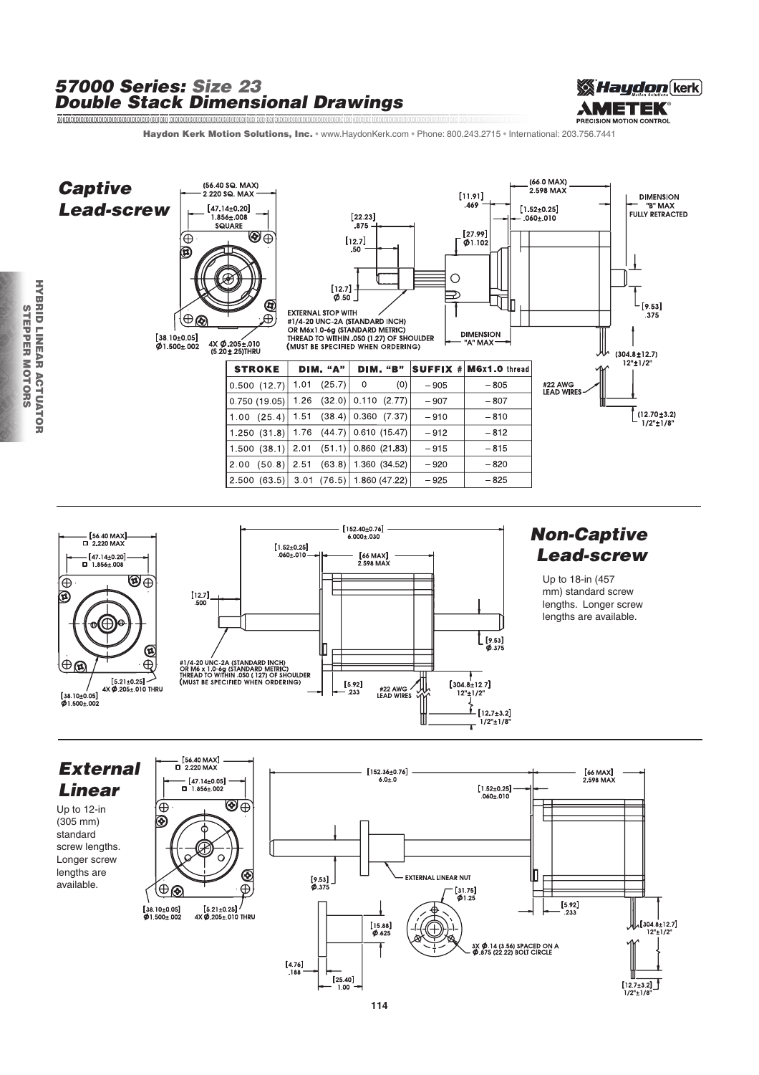#### 57000 Series: Size 23 Double Stack Dimensional Drawings



Haydon Kerk Motion Solutions, Inc. · www.HaydonKerk.com · Phone: 800.243.2715 · International: 203.756.7441





## Non-Captive Lead-screw

Up to 18-in (457 mm) standard screw lengths. Longer screw lengths are available.



⊕

බ

Up to 12-in  $(305 \, \text{mm})$ standard screw lengths. Longer screw lengths are available.